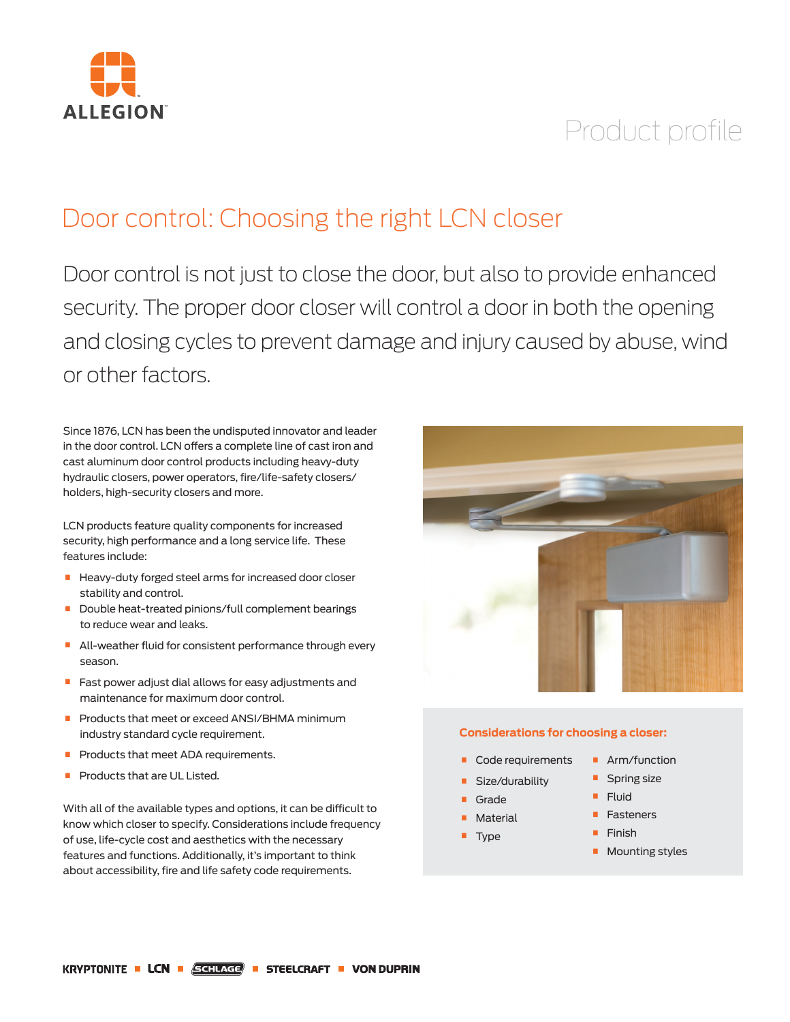

# Product profile

# Door control: Choosing the right LCN closer

Door control is not just to close the door, but also to provide enhanced security. The proper door closer will control a door in both the opening and closing cycles to prevent damage and injury caused by abuse, wind or other factors.

Since 1876, LCN has been the undisputed innovator and leader in the door control. LCN offers a complete line of cast iron and cast aluminum door control products including heavy-duty hydraulic closers, power operators, fire/life-safety closers/ holders, high-security closers and more.

LCN products feature quality components for increased security, high performance and a long service life. These features include:

- **Heavy-duty forged steel arms for increased door closer** stability and control.
- **Double heat-treated pinions/full complement bearings** to reduce wear and leaks.
- **All-weather fluid for consistent performance through every** season.
- **•** Fast power adjust dial allows for easy adjustments and maintenance for maximum door control.
- **Products that meet or exceed ANSI/BHMA minimum** industry standard cycle requirement.
- **Products that meet ADA requirements.**
- **Products that are UL Listed.**

With all of the available types and options, it can be difficult to know which closer to specify. Considerations include frequency of use, life-cycle cost and aesthetics with the necessary features and functions. Additionally, it's important to think about accessibility, fire and life safety code requirements.



### **Considerations for choosing a closer:**

- **Code requirements**
- Size/durability
- **Grade**
- **Material**
- **Type**
- 
- **•** Arm/function
- **•** Spring size
- Fluid
- **•** Fasteners
- **•** Finish
- **Mounting styles**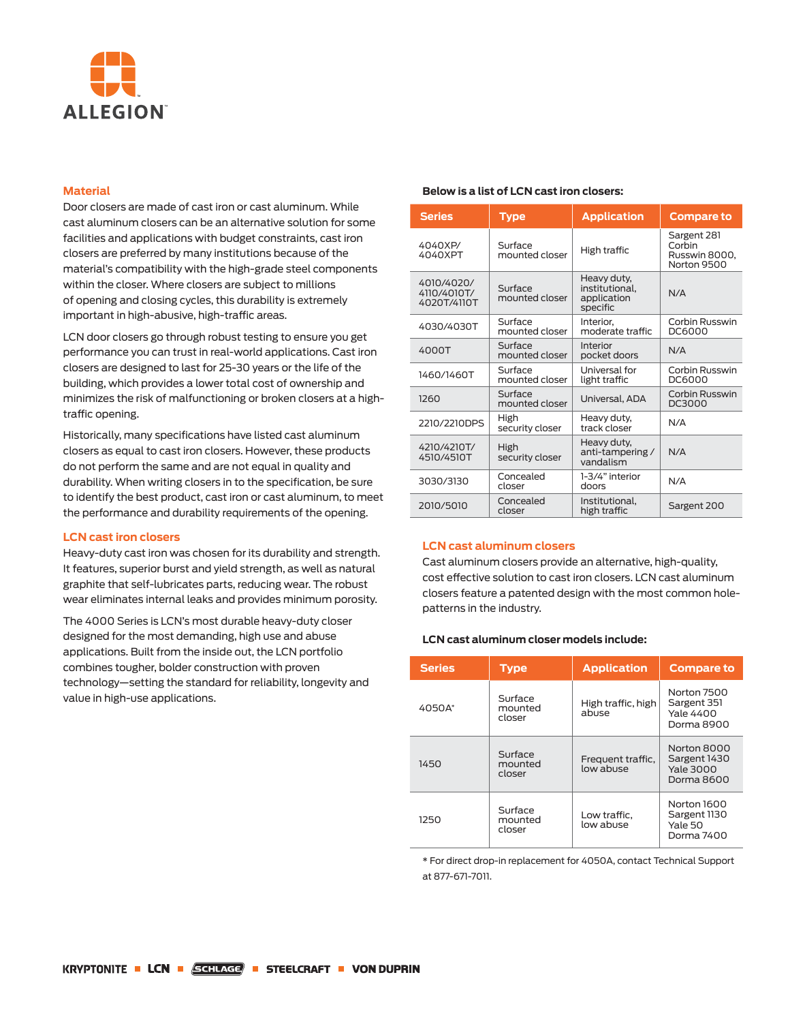

# **Material**

Door closers are made of cast iron or cast aluminum. While cast aluminum closers can be an alternative solution for some facilities and applications with budget constraints, cast iron closers are preferred by many institutions because of the material's compatibility with the high-grade steel components within the closer. Where closers are subject to millions of opening and closing cycles, this durability is extremely important in high-abusive, high-traffic areas.

LCN door closers go through robust testing to ensure you get performance you can trust in real-world applications. Cast iron closers are designed to last for 25-30 years or the life of the building, which provides a lower total cost of ownership and minimizes the risk of malfunctioning or broken closers at a hightraffic opening.

Historically, many specifications have listed cast aluminum closers as equal to cast iron closers. However, these products do not perform the same and are not equal in quality and durability. When writing closers in to the specification, be sure to identify the best product, cast iron or cast aluminum, to meet the performance and durability requirements of the opening.

#### **LCN cast iron closers**

Heavy-duty cast iron was chosen for its durability and strength. It features, superior burst and yield strength, as well as natural graphite that self-lubricates parts, reducing wear. The robust wear eliminates internal leaks and provides minimum porosity.

The 4000 Series is LCN's most durable heavy-duty closer designed for the most demanding, high use and abuse applications. Built from the inside out, the LCN portfolio combines tougher, bolder construction with proven technology—setting the standard for reliability, longevity and value in high-use applications.

# **Below is a list of LCN cast iron closers:**

| <b>Series</b>                            | <b>Type</b>               | <b>Application</b>                                       | <b>Compare to</b>                                     |
|------------------------------------------|---------------------------|----------------------------------------------------------|-------------------------------------------------------|
| 4040XP/<br>4040XPT                       | Surface<br>mounted closer | High traffic                                             | Sargent 281<br>Corbin<br>Russwin 8000,<br>Norton 9500 |
| 4010/4020/<br>4110/4010T/<br>4020T/4110T | Surface<br>mounted closer | Heavy duty,<br>institutional.<br>application<br>specific | N/A                                                   |
| 4030/4030T                               | Surface<br>mounted closer | Interior.<br>moderate traffic                            | Corbin Russwin<br>DC6000                              |
| 4000T                                    | Surface<br>mounted closer | Interior<br>pocket doors                                 | N/A                                                   |
| 1460/1460T                               | Surface<br>mounted closer | Universal for<br>light traffic                           | Corbin Russwin<br>DC6000                              |
| 1260                                     | Surface<br>mounted closer | Universal, ADA                                           | Corbin Russwin<br>DC3000                              |
| 2210/2210DPS                             | High<br>security closer   | Heavy duty,<br>track closer                              | N/A                                                   |
| 4210/4210T/<br>4510/4510T                | High<br>security closer   | Heavy duty,<br>anti-tampering/<br>vandalism              | N/A                                                   |
| 3030/3130                                | Concealed<br>closer       | 1-3/4" interior<br>doors                                 | N/A                                                   |
| 2010/5010                                | Concealed<br>closer       | Institutional.<br>high traffic                           | Sargent 200                                           |

# **LCN cast aluminum closers**

Cast aluminum closers provide an alternative, high-quality, cost effective solution to cast iron closers. LCN cast aluminum closers feature a patented design with the most common holepatterns in the industry.

### **LCN cast aluminum closer models include:**

| <b>Series</b> | <b>Type</b>                  | <b>Application</b>             | <b>Compare to</b>                                             |
|---------------|------------------------------|--------------------------------|---------------------------------------------------------------|
| 4050A*        | Surface<br>mounted<br>closer | High traffic, high<br>abuse    | Norton 7500<br>Sargent 351<br><b>Yale 4400</b><br>Dorma 8900  |
| 1450          | Surface<br>mounted<br>closer | Frequent traffic,<br>low abuse | Norton 8000<br>Sargent 1430<br><b>Yale 3000</b><br>Dorma 8600 |
| 1250          | Surface<br>mounted<br>closer | Low traffic.<br>low abuse      | Norton 1600<br>Sargent 1130<br>Yale 50<br>Dorma 7400          |

\* For direct drop-in replacement for 4050A, contact Technical Support at 877-671-7011.